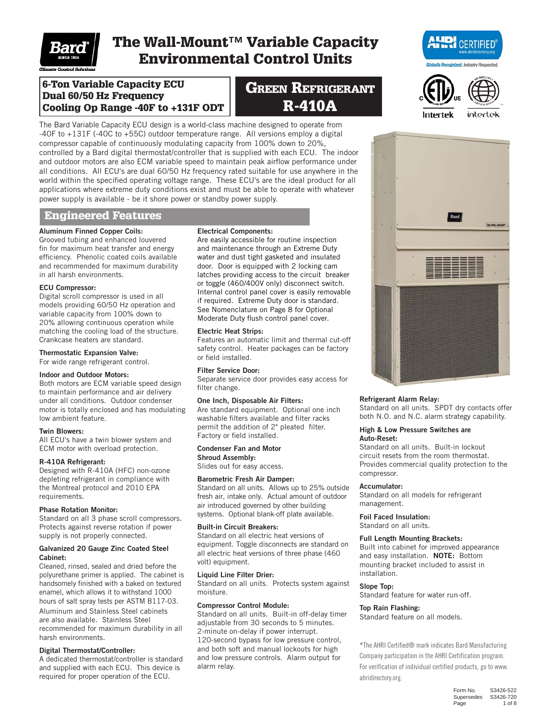

# The Wall-Mount™ Variable Capacity Environmental Control Units

6-Ton Variable Capacity ECU Dual 60/50 Hz Frequency Cooling Op Range -40F to +131F ODT

# **GREEN REFRIGERANT** R-410A

The Bard Variable Capacity ECU design is a world-class machine designed to operate from -40F to +131F (-40C to +55C) outdoor temperature range. All versions employ a digital compressor capable of continuously modulating capacity from 100% down to 20%, controlled by a Bard digital thermostat/controller that is supplied with each ECU. The indoor and outdoor motors are also ECM variable speed to maintain peak airflow performance under all conditions. All ECU's are dual 60/50 Hz frequency rated suitable for use anywhere in the world within the specified operating voltage range. These ECU's are the ideal product for all applications where extreme duty conditions exist and must be able to operate with whatever power supply is available - be it shore power or standby power supply.

### Engineered Features

## Aluminum Finned Copper Coils:

Grooved tubing and enhanced louvered fin for maximum heat transfer and energy efficiency. Phenolic coated coils available and recommended for maximum durability in all harsh environments.

#### ECU Compressor:

Digital scroll compressor is used in all models providing 60/50 Hz operation and variable capacity from 100% down to 20% allowing continuous operation while matching the cooling load of the structure. Crankcase heaters are standard.

#### Thermostatic Expansion Valve:

For wide range refrigerant control.

#### Indoor and Outdoor Motors:

Both motors are ECM variable speed design to maintain performance and air delivery under all conditions. Outdoor condenser motor is totally enclosed and has modulating low ambient feature.

#### Twin Blowers:

All ECU's have a twin blower system and ECM motor with overload protection.

#### R-410A Refrigerant:

Designed with R-410A (HFC) non-ozone depleting refrigerant in compliance with the Montreal protocol and 2010 EPA requirements.

#### Phase Rotation Monitor:

Standard on all 3 phase scroll compressors. Protects against reverse rotation if power supply is not properly connected.

#### Galvanized 20 Gauge Zinc Coated Steel Cabinet:

Cleaned, rinsed, sealed and dried before the polyurethane primer is applied. The cabinet is handsomely finished with a baked on textured enamel, which allows it to withstand 1000 hours of salt spray tests per ASTM B117-03. Aluminum and Stainless Steel cabinets are also available. Stainless Steel recommended for maximum durability in all harsh environments.

#### Digital Thermostat/Controller:

A dedicated thermostat/controller is standard and supplied with each ECU. This device is required for proper operation of the ECU.

#### Electrical Components:

Are easily accessible for routine inspection and maintenance through an Extreme Duty water and dust tight gasketed and insulated door. Door is equipped with 2 locking cam latches providing access to the circuit breaker or toggle (460/400V only) disconnect switch. Internal control panel cover is easily removable if required. Extreme Duty door is standard. See Nomenclature on Page 8 for Optional Moderate Duty flush control panel cover.

#### Electric Heat Strips:

Features an automatic limit and thermal cut-off safety control. Heater packages can be factory or field installed.

#### Filter Service Door:

Separate service door provides easy access for filter change.

#### One Inch, Disposable Air Filters:

Are standard equipment. Optional one inch washable filters available and filter racks permit the addition of 2" pleated filter. Factory or field installed.

### Condenser Fan and Motor

Shroud Assembly: Slides out for easy access.

#### Barometric Fresh Air Damper:

Standard on all units. Allows up to 25% outside fresh air, intake only. Actual amount of outdoor air introduced governed by other building systems. Optional blank-off plate available.

#### Built-in Circuit Breakers:

Standard on all electric heat versions of equipment. Toggle disconnects are standard on all electric heat versions of three phase (460 volt) equipment.

#### Liquid Line Filter Drier:

Standard on all units. Protects system against moisture.

#### Compressor Control Module:

Standard on all units. Built-in off-delay timer adjustable from 30 seconds to 5 minutes. 2-minute on-delay if power interrupt. 120-second bypass for low pressure control, and both soft and manual lockouts for high and low pressure controls. Alarm output for alarm relay.





#### Refrigerant Alarm Relay:

Standard on all units. SPDT dry contacts offer both N.O. and N.C. alarm strategy capability.

#### High & Low Pressure Switches are Auto-Reset:

Standard on all units. Built-in lockout circuit resets from the room thermostat. Provides commercial quality protection to the compressor.

#### Accumulator:

Standard on all models for refrigerant management.

#### Foil Faced Insulation:

Standard on all units.

#### Full Length Mounting Brackets:

Built into cabinet for improved appearance and easy installation. NOTE: Bottom mounting bracket included to assist in installation.

#### Slope Top:

Standard feature for water run-off.

#### Top Rain Flashing:

Standard feature on all models.

\*The AHRI Certified® mark indicates Bard Manufacturing Company participation in the AHRI Certification program. For verification of individual certified products, go to www. ahridirectory.org.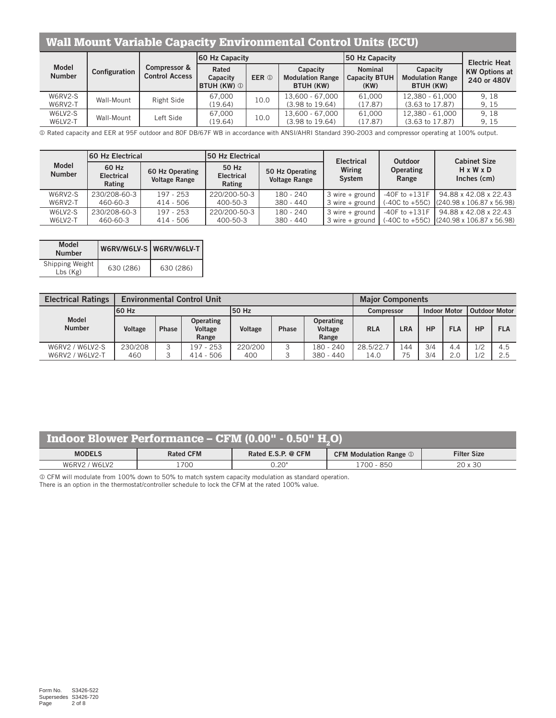## Wall Mount Variable Capacity Environmental Control Units (ECU)

|                        |               |                                                  | <b>60 Hz Capacity</b>                   |                  |                                                  | 50 Hz Capacity                                 |                                                  | <b>Electric Heat</b>                |
|------------------------|---------------|--------------------------------------------------|-----------------------------------------|------------------|--------------------------------------------------|------------------------------------------------|--------------------------------------------------|-------------------------------------|
| Model<br><b>Number</b> | Configuration | <b>Compressor &amp;</b><br><b>Control Access</b> | Rated<br>Capacity<br><b>BTUH (KW) ①</b> | EER <sup>①</sup> | Capacity<br><b>Modulation Range</b><br>BTUH (KW) | <b>Nominal</b><br><b>Capacity BTUH</b><br>(KW) | Capacity<br><b>Modulation Range</b><br>BTUH (KW) | <b>KW Options at</b><br>240 or 480V |
| W6RV2-S<br>W6RV2-T     | Wall-Mount    | Right Side                                       | 67.000<br>(19.64)                       | 10.0             | 13.600 - 67.000<br>$(3.98 \text{ to } 19.64)$    | 61.000<br>(17.87)                              | 12.380 - 61.000<br>$(3.63 \text{ to } 17.87)$    | 9.18<br>9.15                        |
| W6LV2-S<br>W6LV2-T     | Wall-Mount    | Left Side                                        | 67.000<br>(19.64)                       | 10.0             | 13.600 - 67.000<br>$(3.98 \text{ to } 19.64)$    | 61.000<br>(17.87)                              | 12.380 - 61.000<br>(3.63 to 17.87)               | 9.18<br>9.15                        |

Rated capacity and EER at 95F outdoor and 80F DB/67F WB in accordance with ANSI/AHRI Standard 390-2003 and compressor operating at 100% output.

|                               | 160 Hz Electrical                    |                                         | <b>150 Hz Electrical</b>             |                                         | <b>Electrical</b>   | Outdoor                   | <b>Cabinet Size</b>                                 |
|-------------------------------|--------------------------------------|-----------------------------------------|--------------------------------------|-----------------------------------------|---------------------|---------------------------|-----------------------------------------------------|
| <b>Model</b><br><b>Number</b> | 60 Hz<br><b>Electrical</b><br>Rating | 60 Hz Operating<br><b>Voltage Range</b> | 50 Hz<br><b>Electrical</b><br>Rating | 50 Hz Operating<br><b>Voltage Range</b> | Wiring<br>System    | <b>Operating</b><br>Range | H x W x D<br>Inches (cm)                            |
| W6RV2-S                       | 230/208-60-3                         | $197 - 253$                             | 220/200-50-3                         | $180 - 240$                             | $3$ wire $+$ ground |                           | $-40$ F to $+131$ F   94.88 x 42.08 x 22.43         |
| W6RV2-T                       | 460-60-3                             | $414 - 506$                             | 400-50-3                             | 380 - 440                               | $3$ wire + ground   |                           | $(-40C \text{ to } +55C)$ (240.98 x 106.87 x 56.98) |
| W6LV2-S                       | 230/208-60-3                         | $197 - 253$                             | 220/200-50-3                         | $180 - 240$                             | $3$ wire + ground   | $-40F$ to $+131F$         | 94.88 x 42.08 x 22.43                               |
| W6LV2-T                       | 460-60-3                             | $414 - 506$                             | 400-50-3                             | $380 - 440$                             | $3$ wire $+$ ground |                           | $(-40C \text{ to } +55C)$ (240.98 x 106.87 x 56.98) |

| Model<br><b>Number</b>       |           | W6RV/W6LV-S W6RV/W6LV-T |
|------------------------------|-----------|-------------------------|
| Shipping Weight  <br>Lbs(Kg) | 630 (286) | 630 (286)               |

| <b>Electrical Ratings</b>          |                |              | <b>Environmental Control Unit</b>    |                | <b>Major Components</b> |                                      |                     |                 |            |            |            |            |  |
|------------------------------------|----------------|--------------|--------------------------------------|----------------|-------------------------|--------------------------------------|---------------------|-----------------|------------|------------|------------|------------|--|
|                                    | 160 Hz         |              |                                      | 50 Hz          | <b>Compressor</b>       |                                      | <b>Indoor Motor</b> | l Outdoor Motor |            |            |            |            |  |
| <b>Model</b><br><b>Number</b>      | Voltage        | <b>Phase</b> | <b>Operating</b><br>Voltage<br>Range | Voltage        | Phase                   | <b>Operating</b><br>Voltage<br>Range | <b>RLA</b>          | LRA             | HP         | <b>FLA</b> | <b>HP</b>  | <b>FLA</b> |  |
| W6RV2 / W6LV2-S<br>W6RV2 / W6LV2-T | 230/208<br>460 | 3<br>≺<br>◡  | 197 - 253<br>$414 - 506$             | 220/200<br>400 |                         | $180 - 240$<br>380 - 440             | 28.5/22.7<br>14.0   | 144<br>75       | 3/4<br>3/4 | 4.4<br>2.0 | 1/2<br>1/2 | 4.5<br>2.5 |  |

## Indoor Blower Performance – CFM  $(0.00" - 0.50" H<sub>2</sub>O)$

| <b>MODELS</b>  | <b>Rated CFM</b> | @ CFM<br>Rated E.S.P. | $\blacksquare$ Modulation Range $\mathbb U$<br>C F M | <b>Filter Size</b>                    |
|----------------|------------------|-----------------------|------------------------------------------------------|---------------------------------------|
| W6RV2<br>W6LV2 | 1700             | , 20"<br>v.∠v         | 850<br>700                                           | $\cap$<br>$\sim$<br>$\lambda$<br>X JU |

CFM will modulate from 100% down to 50% to match system capacity modulation as standard operation.

There is an option in the thermostat/controller schedule to lock the CFM at the rated 100% value.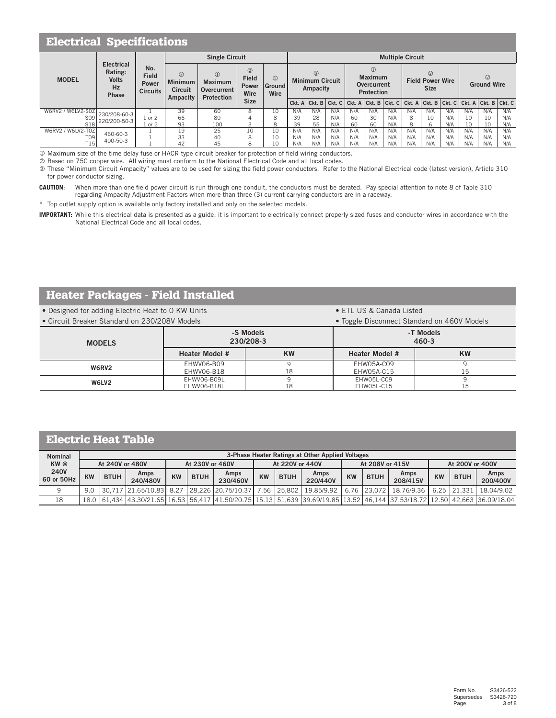|                   | <b>Electrical Specifications</b>                            |                                                                                                                                                                                                                                                                                     |    |                                                                                                                         |             |    |                         |     |     |                                               |     |     |                                     |     |     |     |                                                                                                                                                                                                                                                                                                                        |     |
|-------------------|-------------------------------------------------------------|-------------------------------------------------------------------------------------------------------------------------------------------------------------------------------------------------------------------------------------------------------------------------------------|----|-------------------------------------------------------------------------------------------------------------------------|-------------|----|-------------------------|-----|-----|-----------------------------------------------|-----|-----|-------------------------------------|-----|-----|-----|------------------------------------------------------------------------------------------------------------------------------------------------------------------------------------------------------------------------------------------------------------------------------------------------------------------------|-----|
|                   |                                                             |                                                                                                                                                                                                                                                                                     |    | <b>Single Circuit</b>                                                                                                   |             |    | <b>Multiple Circuit</b> |     |     |                                               |     |     |                                     |     |     |     |                                                                                                                                                                                                                                                                                                                        |     |
| <b>MODEL</b>      | <b>Electrical</b><br>Rating:<br><b>Volts</b><br>Hz<br>Phase | No.<br>$\circled{2}$<br>$\circledR$<br>③<br><b>Field</b><br><b>Field</b><br>$\circled{2}$<br><b>Minimum</b><br><b>Maximum</b><br><b>Power</b><br><b>Power</b><br><b>Ground</b><br><b>Circuit</b><br>Overcurrent<br><b>Circuits</b><br>Wire<br>Wire<br>Ampacity<br><b>Protection</b> |    | $\circled{1}$<br>(3)<br><b>Maximum</b><br><b>Minimum Circuit</b><br><b>Overcurrent</b><br>Ampacity<br><b>Protection</b> |             |    |                         |     |     | (2)<br><b>Field Power Wire</b><br><b>Size</b> |     |     | $\circled{2}$<br><b>Ground Wire</b> |     |     |     |                                                                                                                                                                                                                                                                                                                        |     |
|                   |                                                             |                                                                                                                                                                                                                                                                                     |    |                                                                                                                         | <b>Size</b> |    |                         |     |     |                                               |     |     |                                     |     |     |     | $ Ckt. A Ckt. B Ckt. C Ckt. A Ckt. B Ckt. C Ckt. A Ckt. B Ckt. C Ckt. A Ckt. B Ckt. C Ckt. B Ckt. C Ckt. B Ckt. C Ckt. B Ckt. C Ckt. B Ckt. C Ckt. B Ckt. C Ckt. B Ckt. C Ckt. B Ckt. C Ckt. B Ckt. C Ckt. B Ckt. C Ckt. B Ckt. C Ckt. B Ckt. C Ckt. B Ckt. C Ckt. B Ckt. C Ckt. B Ckt. C Ckt. B Ckt. C Ckt. B Ckt. C$ |     |
| W6RV2 / W6LV2-S0Z | 230/208-60-3                                                |                                                                                                                                                                                                                                                                                     | 39 | 60                                                                                                                      | 8           | 10 | N/A                     | N/A | N/A | N/A                                           | N/A | N/A | N/A                                 | N/A | N/A | N/A | N/A                                                                                                                                                                                                                                                                                                                    | N/A |
| S <sub>09</sub>   | 220/200-50-3                                                | or $2$                                                                                                                                                                                                                                                                              | 66 | 80                                                                                                                      |             | 8  | 39                      | 28  | N/A | 60                                            | 30  | N/A | 8                                   | 10  | N/A | 10  | 10                                                                                                                                                                                                                                                                                                                     | N/A |
| <b>S18</b>        |                                                             | or $2$                                                                                                                                                                                                                                                                              | 93 | 100                                                                                                                     | 3           | 8  | 39                      | 55  | N/A | 60                                            | 60  | N/A | 8                                   | 6   | N/A | 10  | 10                                                                                                                                                                                                                                                                                                                     | N/A |
| W6RV2 / W6LV2-T0Z | 460-60-3                                                    |                                                                                                                                                                                                                                                                                     | 19 | 25                                                                                                                      | 10          | 10 | N/A                     | N/A | N/A | N/A                                           | N/A | N/A | N/A                                 | N/A | N/A | N/A | N/A                                                                                                                                                                                                                                                                                                                    | N/A |
| T <sub>09</sub>   | 400-50-3                                                    |                                                                                                                                                                                                                                                                                     | 33 | 40                                                                                                                      | 8           | 10 | N/A                     | N/A | N/A | N/A                                           | N/A | N/A | N/A                                 | N/A | N/A | N/A | N/A                                                                                                                                                                                                                                                                                                                    | N/A |
| T15               |                                                             |                                                                                                                                                                                                                                                                                     | 42 | 45                                                                                                                      | 8           | 10 | N/A                     | N/A | N/A | N/A                                           | N/A | N/A | N/A                                 | N/A | N/A | N/A | N/A                                                                                                                                                                                                                                                                                                                    | N/A |

Maximum size of the time delay fuse or HACR type circuit breaker for protection of field wiring conductors.

Based on 75C copper wire. All wiring must conform to the National Electrical Code and all local codes.

 These "Minimum Circuit Ampacity" values are to be used for sizing the field power conductors. Refer to the National Electrical code (latest version), Article 310 for power conductor sizing.

**CAUTION**: When more than one field power circuit is run through one conduit, the conductors must be derated. Pay special attention to note 8 of Table 310 regarding Ampacity Adjustment Factors when more than three (3) current carrying conductors are in a raceway.

\* Top outlet supply option is available only factory installed and only on the selected models.

**IMPORTANT:** While this electrical data is presented as a guide, it is important to electrically connect properly sized fuses and conductor wires in accordance with the National Electrical Code and all local codes.

## Heater Packages - Field Installed

• Designed for adding Electric Heat to 0 KW Units • ETL US & Canada Listed

• Circuit Breaker Standard on 230/208V Models • Toggle Disconnect Standard on 460V Models

| <u>UITURIL DIURNU ULAHUATU UITEUUTEUUT INIUUUIU</u> |                       | TULCIU DISCUTTICUL OLUNUU UN TUU TIIUUUIS |                       |           |  |  |  |  |
|-----------------------------------------------------|-----------------------|-------------------------------------------|-----------------------|-----------|--|--|--|--|
| <b>MODELS</b>                                       |                       | -S Models<br>230/208-3                    | -T Models<br>460-3    |           |  |  |  |  |
|                                                     | <b>Heater Model #</b> | KW                                        | <b>Heater Model #</b> | <b>KW</b> |  |  |  |  |
| W6RV2                                               | EHWV06-B09            |                                           | EHW05A-C09            |           |  |  |  |  |
|                                                     | EHWV06-B18            | 18                                        | EHW05A-C15            |           |  |  |  |  |
| W6LV2                                               | EHWV06-B09L           |                                           | EHW05L-C09            |           |  |  |  |  |
|                                                     | EHWV06-B18L           | 18                                        | EHW05L-C15            | ⊥◡        |  |  |  |  |

## Electric Heat Table

| <b>Nominal</b>            |    |                 |                                                                                                                             |           |                 |                  |           |                 | 3-Phase Heater Ratings at Other Applied Voltages |           |                 |                  |                 |             |                  |  |
|---------------------------|----|-----------------|-----------------------------------------------------------------------------------------------------------------------------|-----------|-----------------|------------------|-----------|-----------------|--------------------------------------------------|-----------|-----------------|------------------|-----------------|-------------|------------------|--|
| KW@                       |    | At 240V or 480V |                                                                                                                             |           | At 230V or 460V |                  |           | At 220V or 440V |                                                  |           | At 208V or 415V |                  | At 200V or 400V |             |                  |  |
| <b>240V</b><br>60 or 50Hz | KW | <b>BTUH</b>     | Amps<br>240/480V                                                                                                            | <b>KW</b> | <b>BTUH</b>     | Amps<br>230/460V | <b>KW</b> | <b>BTUH</b>     | Amps<br>220/440V                                 | <b>KW</b> | <b>BTUH</b>     | Amps<br>208/415V | <b>KW</b>       | <b>BTUH</b> | Amps<br>200/400V |  |
|                           |    |                 | 9.0 30.717 21.65/10.83 8.27 28.226 20.75/10.37 7.56 25.802 19.85/9.92 6.76 23.072 18.76/9.36 6.25 21.331 18.04/9.02         |           |                 |                  |           |                 |                                                  |           |                 |                  |                 |             |                  |  |
| 18                        |    |                 | 18.0 61.434 43.30/21.65 16.53 56.417 41.50/20.75 15.13 51.639 39.69/19.85 13.52 46.144 37.53/18.72 12.50 42.663 36.09/18.04 |           |                 |                  |           |                 |                                                  |           |                 |                  |                 |             |                  |  |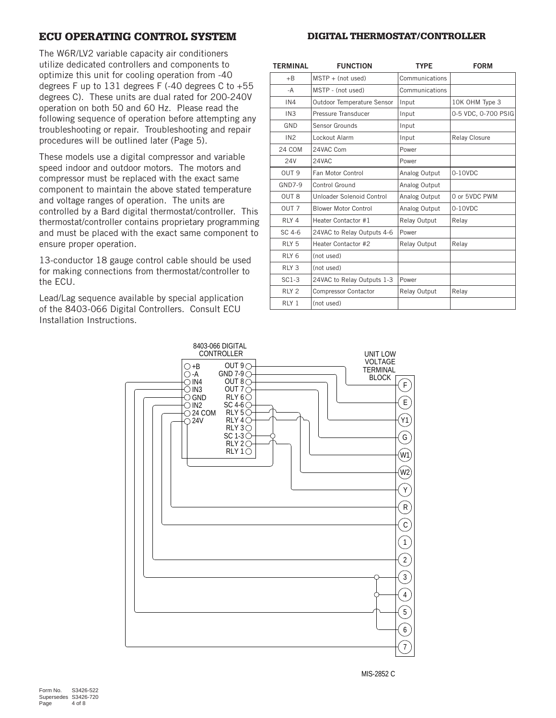## ECU OPERATING CONTROL SYSTEM

#### DIGITAL THERMOSTAT/CONTROLLER

The W6R/LV2 variable capacity air conditioners utilize dedicated controllers and components to optimize this unit for cooling operation from -40 degrees F up to 131 degrees F  $(-40$  degrees C to  $+55$ degrees C). These units are dual rated for 200-240V operation on both 50 and 60 Hz. Please read the following sequence of operation before attempting any troubleshooting or repair. Troubleshooting and repair procedures will be outlined later (Page 5).

These models use a digital compressor and variable speed indoor and outdoor motors. The motors and compressor must be replaced with the exact same component to maintain the above stated temperature and voltage ranges of operation. The units are controlled by a Bard digital thermostat/controller. This thermostat/controller contains proprietary programming and must be placed with the exact same component to ensure proper operation.

13-conductor 18 gauge control cable should be used for making connections from thermostat/controller to the ECU.

Lead/Lag sequence available by special application of the 8403-066 Digital Controllers. Consult ECU Installation Instructions.

| <b>TERMINAL</b>  | <b>FUNCTION</b>             | <b>TYPE</b>    | <b>FORM</b>          |
|------------------|-----------------------------|----------------|----------------------|
| $+B$             | $MSTP + (not used)$         | Communications |                      |
| -A               | MSTP - (not used)           | Communications |                      |
| IN4              | Outdoor Temperature Sensor  | Input          | 10K OHM Type 3       |
| IN <sub>3</sub>  | Pressure Transducer         | Input          | 0-5 VDC, 0-700 PSIG  |
| GND              | Sensor Grounds              | Input          |                      |
| IN2              | Lockout Alarm               | Input          | <b>Relay Closure</b> |
| 24 COM           | 24VAC Com                   | Power          |                      |
| <b>24V</b>       | 24VAC                       | Power          |                      |
| OUT <sub>9</sub> | Fan Motor Control           | Analog Output  | 0-10VDC              |
| <b>GND7-9</b>    | Control Ground              | Analog Output  |                      |
| OUT <sub>8</sub> | Unloader Solenoid Control   | Analog Output  | 0 or 5VDC PWM        |
| OUT <sub>7</sub> | <b>Blower Motor Control</b> | Analog Output  | 0-10VDC              |
| RLY <sub>4</sub> | Heater Contactor #1         | Relay Output   | Relay                |
| SC 4-6           | 24VAC to Relay Outputs 4-6  | Power          |                      |
| RLY <sub>5</sub> | Heater Contactor #2         | Relay Output   | Relay                |
| RLY <sub>6</sub> | (not used)                  |                |                      |
| RLY <sub>3</sub> | (not used)                  |                |                      |
| $SC1-3$          | 24VAC to Relay Outputs 1-3  | Power          |                      |
| RLY <sub>2</sub> | Compressor Contactor        | Relay Output   | Relay                |
| RLY <sub>1</sub> | (not used)                  |                |                      |

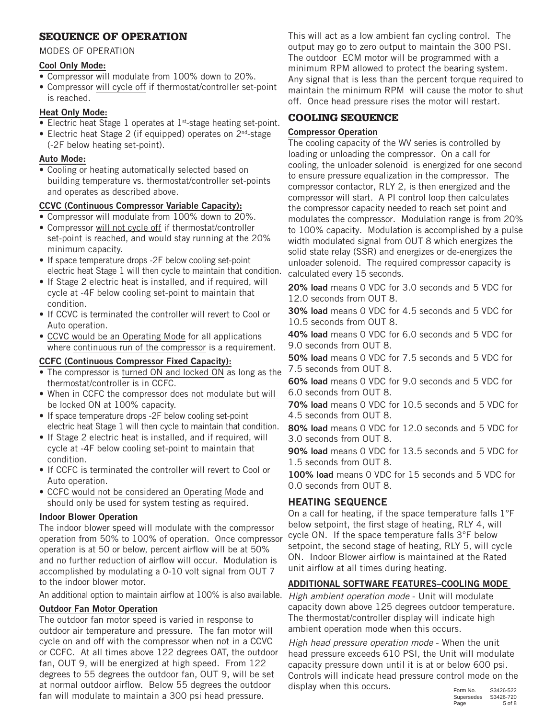## SEQUENCE OF OPERATION

### MODES OF OPERATION

### Cool Only Mode:

- Compressor will modulate from 100% down to 20%.
- Compressor will cycle off if thermostat/controller set-point is reached.

## Heat Only Mode:

- Electric heat Stage 1 operates at 1<sup>st</sup>-stage heating set-point.
- Electric heat Stage 2 (if equipped) operates on 2<sup>nd</sup>-stage (-2F below heating set-point).

## Auto Mode:

• Cooling or heating automatically selected based on building temperature vs. thermostat/controller set-points and operates as described above.

## CCVC (Continuous Compressor Variable Capacity):

- Compressor will modulate from 100% down to 20%.
- Compressor will not cycle off if thermostat/controller set-point is reached, and would stay running at the 20% minimum capacity.
- If space temperature drops -2F below cooling set-point electric heat Stage 1 will then cycle to maintain that condition.
- If Stage 2 electric heat is installed, and if required, will cycle at -4F below cooling set-point to maintain that condition.
- If CCVC is terminated the controller will revert to Cool or Auto operation.
- CCVC would be an Operating Mode for all applications where continuous run of the compressor is a requirement.

## CCFC (Continuous Compressor Fixed Capacity):

- The compressor is turned ON and locked ON as long as the thermostat/controller is in CCFC.
- When in CCFC the compressor does not modulate but will be locked ON at 100% capacity.
- If space temperature drops -2F below cooling set-point electric heat Stage 1 will then cycle to maintain that condition.
- If Stage 2 electric heat is installed, and if required, will cycle at -4F below cooling set-point to maintain that condition.
- If CCFC is terminated the controller will revert to Cool or Auto operation.
- CCFC would not be considered an Operating Mode and should only be used for system testing as required.

### Indoor Blower Operation

The indoor blower speed will modulate with the compressor operation from 50% to 100% of operation. Once compressor operation is at 50 or below, percent airflow will be at 50% and no further reduction of airflow will occur. Modulation is accomplished by modulating a 0-10 volt signal from OUT 7 to the indoor blower motor.

An additional option to maintain airflow at 100% is also available.

## Outdoor Fan Motor Operation

The outdoor fan motor speed is varied in response to outdoor air temperature and pressure. The fan motor will cycle on and off with the compressor when not in a CCVC or CCFC. At all times above 122 degrees OAT, the outdoor fan, OUT 9, will be energized at high speed. From 122 degrees to 55 degrees the outdoor fan, OUT 9, will be set at normal outdoor airflow. Below 55 degrees the outdoor fan will modulate to maintain a 300 psi head pressure.

This will act as a low ambient fan cycling control. The output may go to zero output to maintain the 300 PSI. The outdoor ECM motor will be programmed with a minimum RPM allowed to protect the bearing system. Any signal that is less than the percent torque required to maintain the minimum RPM will cause the motor to shut off. Once head pressure rises the motor will restart.

## COOLING SEQUENCE

## Compressor Operation

The cooling capacity of the WV series is controlled by loading or unloading the compressor. On a call for cooling, the unloader solenoid is energized for one second to ensure pressure equalization in the compressor. The compressor contactor, RLY 2, is then energized and the compressor will start. A PI control loop then calculates the compressor capacity needed to reach set point and modulates the compressor. Modulation range is from 20% to 100% capacity. Modulation is accomplished by a pulse width modulated signal from OUT 8 which energizes the solid state relay (SSR) and energizes or de-energizes the unloader solenoid. The required compressor capacity is calculated every 15 seconds.

20% load means 0 VDC for 3.0 seconds and 5 VDC for 12.0 seconds from OUT 8.

30% load means 0 VDC for 4.5 seconds and 5 VDC for 10.5 seconds from OUT 8.

40% load means 0 VDC for 6.0 seconds and 5 VDC for 9.0 seconds from OUT 8.

50% load means 0 VDC for 7.5 seconds and 5 VDC for 7.5 seconds from OUT 8.

60% load means 0 VDC for 9.0 seconds and 5 VDC for 6.0 seconds from OUT 8.

70% load means 0 VDC for 10.5 seconds and 5 VDC for 4.5 seconds from OUT 8.

80% load means 0 VDC for 12.0 seconds and 5 VDC for 3.0 seconds from OUT 8.

90% load means 0 VDC for 13.5 seconds and 5 VDC for 1.5 seconds from OUT 8.

100% load means 0 VDC for 15 seconds and 5 VDC for 0.0 seconds from OUT 8.

## HEATING SEQUENCE

On a call for heating, if the space temperature falls 1°F below setpoint, the first stage of heating, RLY 4, will cycle ON. If the space temperature falls 3°F below setpoint, the second stage of heating, RLY 5, will cycle ON. Indoor Blower airflow is maintained at the Rated unit airflow at all times during heating.

## ADDITIONAL SOFTWARE FEATURES–COOLING MODE

*High ambient operation mode* - Unit will modulate capacity down above 125 degrees outdoor temperature. The thermostat/controller display will indicate high ambient operation mode when this occurs.

*High head pressure operation mode* - When the unit head pressure exceeds 610 PSI, the Unit will modulate capacity pressure down until it is at or below 600 psi. Controls will indicate head pressure control mode on the display when this occurs.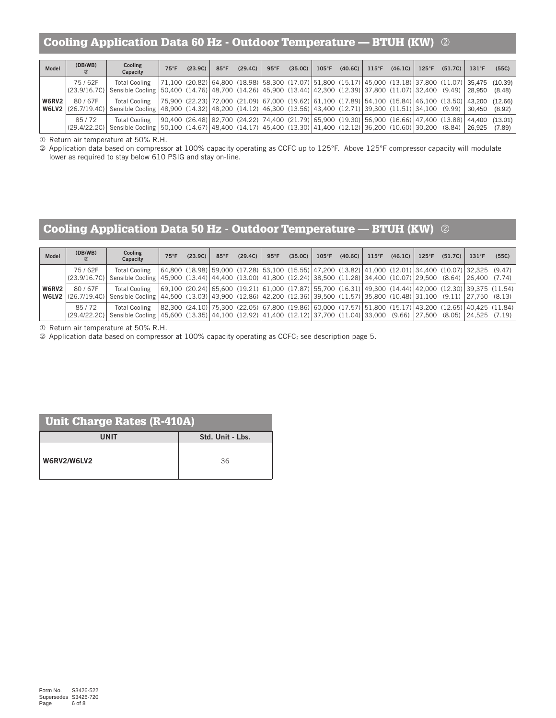## Cooling Application Data 60 Hz - Outdoor Temperature — BTUH (KW)

| Model | (DB/WB)<br>$\circled{2}$ | Cooling<br>Capacity                                                                                                                                                | $75^{\circ}$ F | (23.9C)                                                                                                                         | $85^{\circ}$ F | (29.4C) | $95^{\circ}$ F | (35.0C) | $105^{\circ}$ F |  | $(40.6C)$ 115°F $(46.1C)$ | $125^{\circ}$ F | $(51.7C)$   131°F |        | (55C)                                                                                                                                                                                                                                                                                |
|-------|--------------------------|--------------------------------------------------------------------------------------------------------------------------------------------------------------------|----------------|---------------------------------------------------------------------------------------------------------------------------------|----------------|---------|----------------|---------|-----------------|--|---------------------------|-----------------|-------------------|--------|--------------------------------------------------------------------------------------------------------------------------------------------------------------------------------------------------------------------------------------------------------------------------------------|
|       | 75/62F                   | <b>Total Cooling</b><br>(23.9/16.7C) Sensible Cooling 50,400 (14.76) 48,700 (14.26) 45,900 (13.44) 42,300 (12.39) 37,800 (11.07) 32,400 (9.49) 28,950              |                | $ 71,100 \t(20.82)  64,800 \t(18.98)  58,300 \t(17.07)  51,800 \t(15.17)  45,000 \t(13.18)  37,800 \t(11.07)  35,475 \t(10.39)$ |                |         |                |         |                 |  |                           |                 |                   |        | (8.48)                                                                                                                                                                                                                                                                               |
| W6RV2 | 80/67F                   | <b>Total Cooling</b><br>W6LV2 (26.7/19.4C) Sensible Cooling (48.900 (14.32) (48.200 (14.12) (46.300 (13.56) (43.400 (12.71) (39.300 (11.51) (34.100 (9.99) (30.450 |                |                                                                                                                                 |                |         |                |         |                 |  |                           |                 |                   |        | $ 75,900 \ (22.23)  72,000 \ (21.09)  67,000 \ (19.62)  61,100 \ (17.89)  54,100 \ (15.84)  46,100 \ (13.50)  43,200 \ (12.66)  60,100 \ (15.84)  61,100 \ (15.85)  61,100 \ (15.86)  62,100 \ (16.87)  63,100 \ (17.89)  64,100 \ (17.89)  64,100 \ (17.89)  65,100 \ (1$<br>(8.92) |
|       | 85/72                    | <b>Total Cooling</b><br>(29.4/22.2C) Sensible Cooling 50,100 (14.67) 48,400 (14.17) 45,400 (13.30) 41,400 (12.12) 36,200 (10.60) 30,200 (8.84)                     |                | $(90,400)(26.48)(82,700)(24.22)(74,400)(21.79)(65,900)(19.30)(56,900)(16.66)(47,400)(13.88)(44,400)$                            |                |         |                |         |                 |  |                           |                 |                   | 26,925 | (13.01)<br>(7.89)                                                                                                                                                                                                                                                                    |

Return air temperature at 50% R.H.

 Application data based on compressor at 100% capacity operating as CCFC up to 125°F. Above 125°F compressor capacity will modulate lower as required to stay below 610 PSIG and stay on-line.

## Cooling Application Data 50 Hz - Outdoor Temperature — BTUH (KW)

| <b>Model</b> | (DB/WB)<br>(2)                   | Cooling<br>Capacity                                                                                                                                                                                                                                                            | $75^{\circ}$ F | (23.9C)                                                                                                     | $85^{\circ}$ F | (29.4C) | $95^{\circ}$ F | (35.0C) | $105^{\circ}$ F |  | $(40.6C)$ 115°F (46.1C) | $125^{\circ}$ F | (51.7C) | 131°F | (55C) |
|--------------|----------------------------------|--------------------------------------------------------------------------------------------------------------------------------------------------------------------------------------------------------------------------------------------------------------------------------|----------------|-------------------------------------------------------------------------------------------------------------|----------------|---------|----------------|---------|-----------------|--|-------------------------|-----------------|---------|-------|-------|
|              | 75/62F<br>(23.9/16.7C)           | <b>Total Cooling</b><br>Sensible Cooling 45,900 (13.44) 44,400 (13.00) 41,800 (12.24) 38,500 (11.28) 34,400 (10.07) 29,500 (8.64) 26,400 (7.74)                                                                                                                                |                | $(64,800)(18.98)(59,000)(17.28)(53,100)(15.55)(47,200)(13.82)(41,000)(12.01)(34,400)(10.07)(32,325)(9.47)$  |                |         |                |         |                 |  |                         |                 |         |       |       |
| <b>W6RV2</b> | 80/67F<br>$W6LV2$ $(26.7/19.4C)$ | <b>Total Cooling</b><br>Sensible Cooling   44,500 (13.03)   43,900 (12.86)   42,200 (12.36)   39,500 (11.57)   35,800 (10.48)   31,100 (9.11)   27,750 (8.13)                                                                                                                  |                | $(69,100 (20.24) 65,600 (19.21) 61,000 (17.87) 55,700 (16.31) 49,300 (14.44) 42,000 (12.30) 39,375 (11.54)$ |                |         |                |         |                 |  |                         |                 |         |       |       |
|              | 85/72<br>(29.4/22.2C)            | Total Cooling   82,300 (24.10)   75,300 (22.05)   67,800 (19.86)   60,000 (17.57)   51,800 (15.17)   43,200 (12.65)   40,425 (11.84)  <br>Sensible Cooling   45,600 (13.35)   44,100 (12.92)   41,400 (12.12)   37,700 (11.04)   33,000 (9.66)   27,500 (8.05)   24,525 (7.19) |                |                                                                                                             |                |         |                |         |                 |  |                         |                 |         |       |       |

Return air temperature at 50% R.H.

Application data based on compressor at 100% capacity operating as CCFC; see description page 5.

| <b>Unit Charge Rates (R-410A)</b> |                  |  |  |  |  |  |  |  |  |
|-----------------------------------|------------------|--|--|--|--|--|--|--|--|
| UNIT                              | Std. Unit - Lbs. |  |  |  |  |  |  |  |  |
| W6RV2/W6LV2                       | 36               |  |  |  |  |  |  |  |  |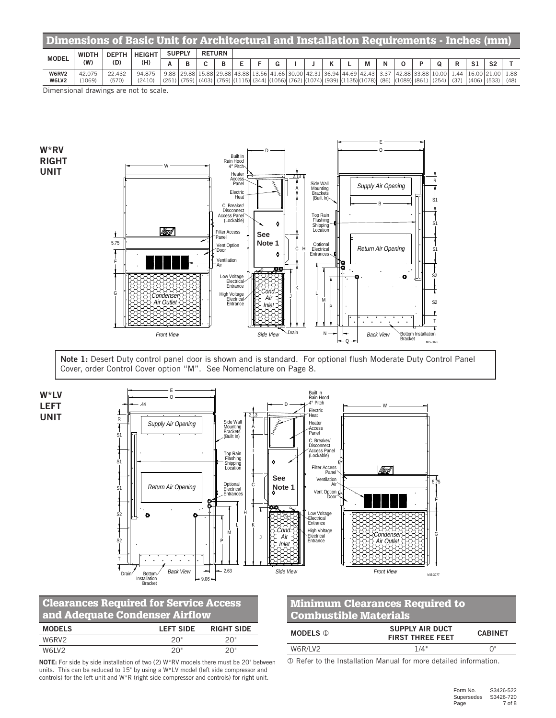| Dimensions of Basic Unit for Architectural and Installation Requirements - Inches (mm) |                     |                     |                      |               |  |               |   |  |  |  |  |   |                                                                                                                    |   |  |                   |      |          |                |      |
|----------------------------------------------------------------------------------------|---------------------|---------------------|----------------------|---------------|--|---------------|---|--|--|--|--|---|--------------------------------------------------------------------------------------------------------------------|---|--|-------------------|------|----------|----------------|------|
| <b>MODEL</b>                                                                           | <b>WIDTH</b><br>(W) | <b>DEPTH</b><br>(D) | <b>HEIGHT</b><br>(H) | <b>SUPPLY</b> |  | <b>RETURN</b> |   |  |  |  |  |   |                                                                                                                    |   |  |                   |      |          |                |      |
|                                                                                        |                     |                     |                      |               |  | ◠             | в |  |  |  |  | ĸ | M                                                                                                                  | N |  |                   | R    |          | S <sub>2</sub> |      |
| W6RV2                                                                                  | 42.075              | 22.432              | 94.875               |               |  |               |   |  |  |  |  |   | 9.88 29.88 15.88 29.88 43.88 13.56 41.66 30.00 42.31 36.94 44.69 42.43 3.37                                        |   |  | 42.88 33.88 10.00 | .44  | 16.00 21 | .00.           | 1.88 |
| W6LV2                                                                                  | (1069)              | (570)               | (2410)               |               |  |               |   |  |  |  |  |   | (251) [(759) [(403) [(759) [(1115)] (344) [(1056)] (762) [(1074)] (939) [(1135)](1078)] (86) [(1089)] (861) [(254) |   |  |                   | (37) | (406)    | (533)          | (48) |
| - -                                                                                    |                     |                     |                      |               |  |               |   |  |  |  |  |   |                                                                                                                    |   |  |                   |      |          |                |      |

Dimensional drawings are not to scale.

W\*RV RIGHT UNIT



Note 1: Desert Duty control panel door is shown and is standard. For optional flush Moderate Duty Control Panel Cover, order Control Cover option "M". See Nomenclature on Page 8.



## Clearances Required for Service Access and Adequate Condenser Airflow

| <b>MODELS</b>                  | <b>LEFT SIDE</b> | <b>RIGHT SIDE</b> |
|--------------------------------|------------------|-------------------|
| W6RV2                          | 20"              | 20"               |
| W <sub>6</sub> IV <sub>2</sub> | 20"              | 20"               |

NOTE: For side by side installation of two (2) W\*RV models there must be 20" between units. This can be reduced to 15" by using a W\*LV model (left side compressor and controls) for the left unit and W\*R (right side compressor and controls) for right unit.

## Minimum Clearances Required to Combustible Materials

| <b>MODELS</b> ① | <b>SUPPLY AIR DUCT</b><br><b>FIRST THREE FEET</b> | <b>CABINET</b> |  |  |
|-----------------|---------------------------------------------------|----------------|--|--|
| W6R/I V2        | 1/4"                                              |                |  |  |

Refer to the Installation Manual for more detailed information.